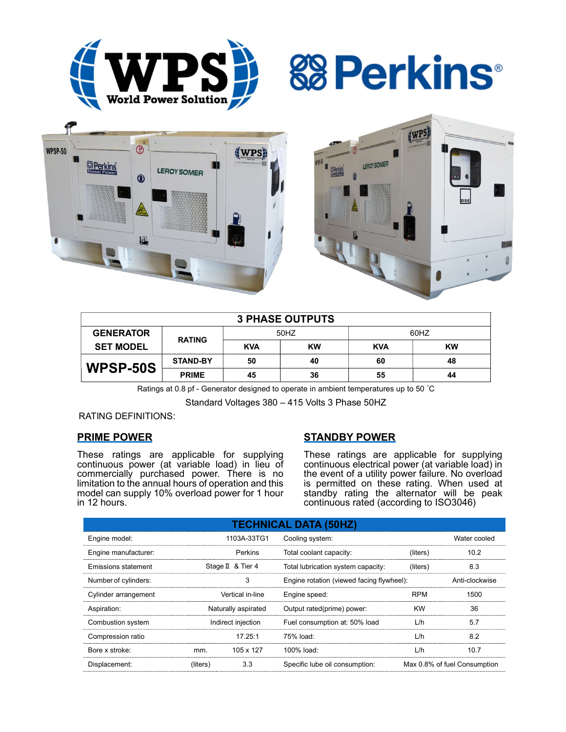





| <b>3 PHASE OUTPUTS</b> |                 |            |           |            |           |  |  |
|------------------------|-----------------|------------|-----------|------------|-----------|--|--|
| <b>GENERATOR</b>       | <b>RATING</b>   | 50HZ       |           | 60HZ       |           |  |  |
| <b>SET MODEL</b>       |                 | <b>KVA</b> | <b>KW</b> | <b>KVA</b> | <b>KW</b> |  |  |
| WPSP-50S               | <b>STAND-BY</b> | 50         | 40        | 60         | 48        |  |  |
|                        | <b>PRIME</b>    | 45         | 36        | 55         | 44        |  |  |

Ratings at 0.8 pf - Generator designed to operate in ambient temperatures up to 50 °C

Standard Voltages 380 – 415 Volts 3 Phase 50HZ

### RATING DEFINITIONS:

### PRIME POWER

These ratings are applicable for supplying continuous power (at variable load) in lieu of commercially purchased power. There is no limitation to the annual hours of operation and this model can supply 10% overload power for 1 hour in 12 hours.

### STANDBY POWER

These ratings are applicable for supplying continuous electrical power (at variable load) in the event of a utility power failure. No overload is permitted on these rating. When used at standby rating the alternator will be peak continuous rated (according to ISO3046)

| <b>TECHNICAL DATA (50HZ)</b> |                     |           |                                           |            |                              |  |
|------------------------------|---------------------|-----------|-------------------------------------------|------------|------------------------------|--|
| Engine model:                | 1103A-33TG1         |           | Cooling system:                           |            | Water cooled                 |  |
| Engine manufacturer:         | <b>Perkins</b>      |           | Total coolant capacity:                   | (liters)   | 10.2                         |  |
| Emissions statement          | Stage II & Tier 4   |           | Total lubrication system capacity:        | (liters)   | 8.3                          |  |
| Number of cylinders:         | 3                   |           | Engine rotation (viewed facing flywheel): |            | Anti-clockwise               |  |
| Cylinder arrangement         | Vertical in-line    |           | Engine speed:                             | <b>RPM</b> | 1500                         |  |
| Aspiration:                  | Naturally aspirated |           | Output rated(prime) power:                | <b>KW</b>  | 36                           |  |
| Combustion system            | Indirect injection  |           | Fuel consumption at: 50% load             | L/h        | 5.7                          |  |
| Compression ratio            |                     | 17.25:1   | 75% load:                                 | L/h        | 8.2                          |  |
| Bore x stroke:               | mm.                 | 105 x 127 | 100% load:                                | L/h        | 10.7                         |  |
| Displacement:                | (liters)            | 3.3       | Specific lube oil consumption:            |            | Max 0.8% of fuel Consumption |  |